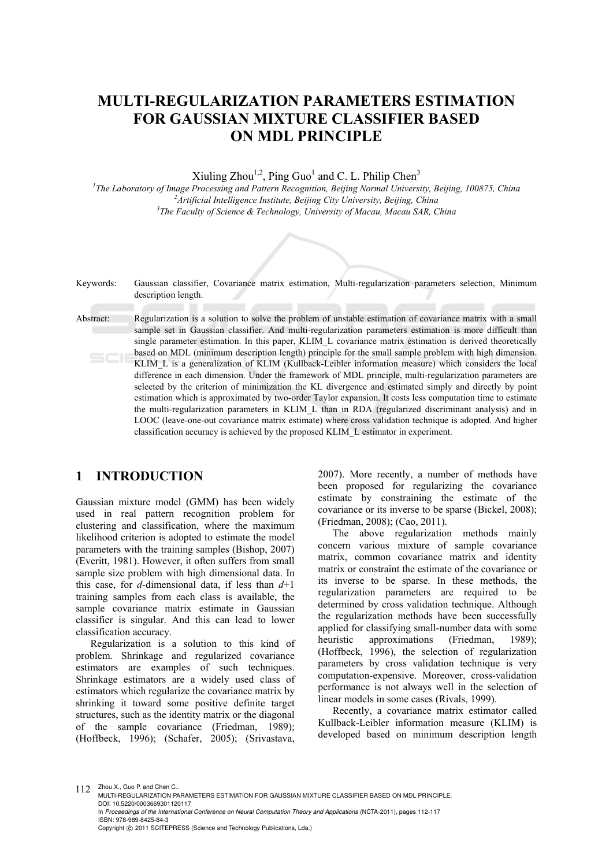# **MULTI-REGULARIZATION PARAMETERS ESTIMATION FOR GAUSSIAN MIXTURE CLASSIFIER BASED ON MDL PRINCIPLE**

Xiuling Zhou<sup>1,2</sup>, Ping Guo<sup>1</sup> and C. L. Philip Chen<sup>3</sup>

<sup>1</sup>The Laboratory of Image Processing and Pattern Recognition, Beijing Normal University, Beijing, 100875, China <sup>2</sup><br><sup>2</sup> Antificial Intelligence Institute Beijing City University Beijing China <sup>2</sup> Artificial Intelligence Institute, Beijing City University, Beijing, China *The Faculty of Science & Technology, University of Macau, Macau SAR, China* 

Keywords: Gaussian classifier, Covariance matrix estimation, Multi-regularization parameters selection, Minimum description length.

Abstract: Regularization is a solution to solve the problem of unstable estimation of covariance matrix with a small sample set in Gaussian classifier. And multi-regularization parameters estimation is more difficult than single parameter estimation. In this paper, KLIM L covariance matrix estimation is derived theoretically based on MDL (minimum description length) principle for the small sample problem with high dimension. KLIM\_L is a generalization of KLIM (Kullback-Leibler information measure) which considers the local difference in each dimension. Under the framework of MDL principle, multi-regularization parameters are selected by the criterion of minimization the KL divergence and estimated simply and directly by point estimation which is approximated by two-order Taylor expansion. It costs less computation time to estimate the multi-regularization parameters in KLIM\_L than in RDA (regularized discriminant analysis) and in LOOC (leave-one-out covariance matrix estimate) where cross validation technique is adopted. And higher classification accuracy is achieved by the proposed KLIM\_L estimator in experiment.

# **1 INTRODUCTION**

Gaussian mixture model (GMM) has been widely used in real pattern recognition problem for clustering and classification, where the maximum likelihood criterion is adopted to estimate the model parameters with the training samples (Bishop, 2007) (Everitt, 1981). However, it often suffers from small sample size problem with high dimensional data. In this case, for *d*-dimensional data, if less than *d*+1 training samples from each class is available, the sample covariance matrix estimate in Gaussian classifier is singular. And this can lead to lower classification accuracy.

Regularization is a solution to this kind of problem. Shrinkage and regularized covariance estimators are examples of such techniques. Shrinkage estimators are a widely used class of estimators which regularize the covariance matrix by shrinking it toward some positive definite target structures, such as the identity matrix or the diagonal of the sample covariance (Friedman, 1989); (Hoffbeck, 1996); (Schafer, 2005); (Srivastava,

2007). More recently, a number of methods have been proposed for regularizing the covariance estimate by constraining the estimate of the covariance or its inverse to be sparse (Bickel, 2008); (Friedman, 2008); (Cao, 2011).

The above regularization methods mainly concern various mixture of sample covariance matrix, common covariance matrix and identity matrix or constraint the estimate of the covariance or its inverse to be sparse. In these methods, the regularization parameters are required to be determined by cross validation technique. Although the regularization methods have been successfully applied for classifying small-number data with some heuristic approximations (Friedman, 1989); (Hoffbeck, 1996), the selection of regularization parameters by cross validation technique is very computation-expensive. Moreover, cross-validation performance is not always well in the selection of linear models in some cases (Rivals, 1999).

Recently, a covariance matrix estimator called Kullback-Leibler information measure (KLIM) is developed based on minimum description length

112 Zhou X., Guo P. and Chen C.

MULTI-REGULARIZATION PARAMETERS ESTIMATION FOR GAUSSIAN MIXTURE CLASSIFIER BASED ON MDL PRINCIPLE. DOI: 10.5220/0003669301120117 In *Proceedings of the International Conference on Neural Computation Theory and Applications* (NCTA-2011), pages 112-117 ISBN: 978-989-8425-84-3

Copyright © 2011 SCITEPRESS (Science and Technology Publications, Lda.)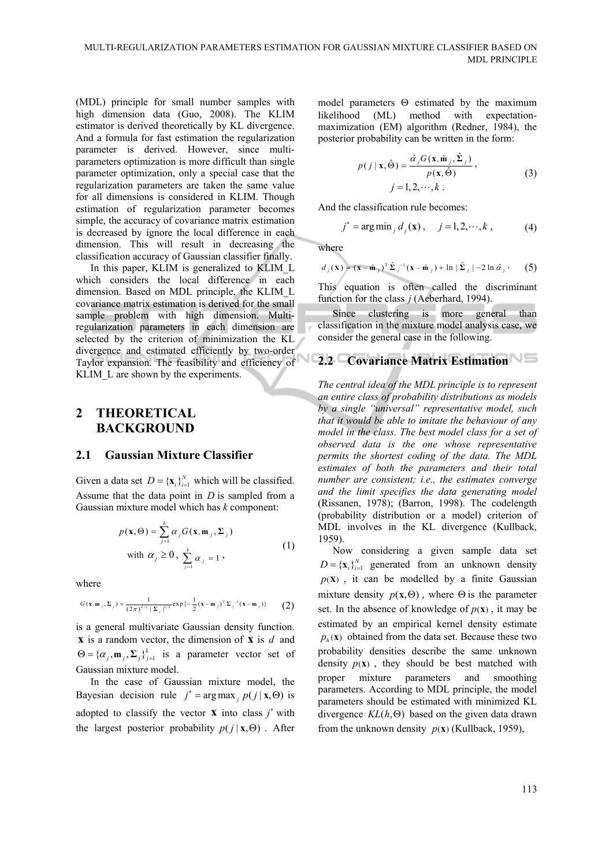(MDL) principle for small number samples with high dimension data (Guo, 2008). The KLIM estimator is derived theoretically by KL divergence. And a formula for fast estimation the regularization parameter is derived. However, since multiparameters optimization is more difficult than single parameter optimization, only a special case that the regularization parameters are taken the same value for all dimensions is considered in KLIM. Though estimation of regularization parameter becomes simple, the accuracy of covariance matrix estimation is decreased by ignore the local difference in each dimension. This will result in decreasing the classification accuracy of Gaussian classifier finally.

In this paper, KLIM is generalized to KLIM\_L which considers the local difference in each dimension. Based on MDL principle, the KLIM\_L covariance matrix estimation is derived for the small sample problem with high dimension. Multiregularization parameters in each dimension are selected by the criterion of minimization the KL divergence and estimated efficiently by two-order Taylor expansion. The feasibility and efficiency of KLIM L are shown by the experiments.

# **2 THEORETICAL BACKGROUND**

#### **2.1 Gaussian Mixture Classifier**

Given a data set  $D = {\mathbf{x}_i}_{i=1}^N$  which will be classified. Assume that the data point in *D* is sampled from a Gaussian mixture model which has *k* component:

$$
p(\mathbf{x}, \Theta) = \sum_{j=1}^{k} \alpha_{j} G(\mathbf{x}, \mathbf{m}_{j}, \Sigma_{j})
$$
  
with  $\alpha_{j} \ge 0$ ,  $\sum_{j=1}^{k} \alpha_{j} = 1$ , (1)

where

$$
G(\mathbf{x}, \mathbf{m}_{j}, \Sigma_{j}) = \frac{1}{(2\pi)^{d/2} |\Sigma_{j}|^{1/2}} \exp\left\{-\frac{1}{2}(\mathbf{x} - \mathbf{m}_{j})^{\mathrm{T}} \Sigma_{j}^{-1}(\mathbf{x} - \mathbf{m}_{j})\right\} \tag{2}
$$

is a general multivariate Gaussian density function. **x** is a random vector, the dimension of **x** is *d* and  $\Theta = {\alpha_i, \mathbf{m}_i, \Sigma_i}_{i=1}^k$  is a parameter vector set of Gaussian mixture model.

In the case of Gaussian mixture model, the Bayesian decision rule  $j^* = \arg \max_{i} p(j | \mathbf{x}, \Theta)$  is adopted to classify the vector **x** into class  $j^*$  with the largest posterior probability  $p(j | \mathbf{x}, \Theta)$ . After

model parameters  $\Theta$  estimated by the maximum likelihood (ML) method with expectationmaximization (EM) algorithm (Redner, 1984), the posterior probability can be written in the form:

$$
p(j \mid \mathbf{x}, \hat{\Theta}) = \frac{\hat{\alpha}_j G(\mathbf{x}, \hat{\mathbf{m}}_j, \hat{\Sigma}_j)}{p(\mathbf{x}, \hat{\Theta})},
$$
  
 
$$
j = 1, 2, \cdots, k.
$$
 (3)

And the classification rule becomes:

$$
j^* = \arg \min_j d_j(\mathbf{x}), \quad j = 1, 2, \cdots, k,
$$
 (4)

where

$$
d_j(\mathbf{x}) = (\mathbf{x} - \hat{\mathbf{m}}_j)^T \hat{\boldsymbol{\Sigma}}_j^{-1} (\mathbf{x} - \hat{\mathbf{m}}_j) + \ln |\hat{\boldsymbol{\Sigma}}_j| - 2 \ln \hat{\alpha}_j.
$$
 (5)

This equation is often called the discriminant function for the class *j* (Aeberhard, 1994).

Since clustering is more general than classification in the mixture model analysis case, we consider the general case in the following.

# **2.2 Covariance Matrix Estimation**

*The central idea of the MDL principle is to represent an entire class of probability distributions as models by a single "universal" representative model, such that it would be able to imitate the behaviour of any model in the class. The best model class for a set of observed data is the one whose representative permits the shortest coding of the data. The MDL estimates of both the parameters and their total number are consistent; i.e., the estimates converge and the limit specifies the data generating model*  (Rissanen, 1978); (Barron, 1998). The codelength (probability distribution or a model) criterion of MDL involves in the KL divergence (Kullback, 1959).

Now considering a given sample data set  $D = {\mathbf{x}_i}_{i=1}^N$  generated from an unknown density  $p(X)$ , it can be modelled by a finite Gaussian mixture density  $p(\mathbf{x}, \Theta)$ , where  $\Theta$  is the parameter set. In the absence of knowledge of  $p(\mathbf{x})$ , it may be estimated by an empirical kernel density estimate  $p_{\mu}(\mathbf{x})$  obtained from the data set. Because these two probability densities describe the same unknown density  $p(x)$ , they should be best matched with proper mixture parameters and smoothing parameters. According to MDL principle, the model parameters should be estimated with minimized KL divergence  $KL(h, \Theta)$  based on the given data drawn from the unknown density  $p(x)$  (Kullback, 1959),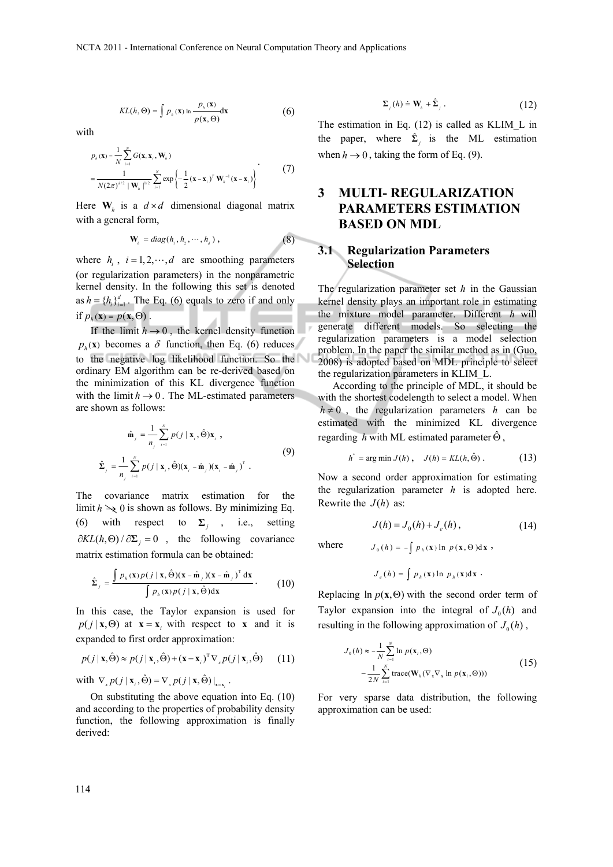$$
KL(h, \Theta) = \int p_{\lambda}(\mathbf{x}) \ln \frac{p_{\lambda}(\mathbf{x})}{p(\mathbf{x}, \Theta)} d\mathbf{x}
$$
 (6)

with

$$
p_{h}(\mathbf{x}) = \frac{1}{N} \sum_{i=1}^{N} G(\mathbf{x}, \mathbf{x}_{i}, \mathbf{W}_{h})
$$
  
= 
$$
\frac{1}{N(2\pi)^{d/2} |\mathbf{W}_{h}|^{1/2}} \sum_{i=1}^{N} \exp \left\{-\frac{1}{2} (\mathbf{x} - \mathbf{x}_{i})^{T} \mathbf{W}_{h}^{-1} (\mathbf{x} - \mathbf{x}_{i})\right\}
$$
(7)

Here  $W_h$  is a  $d \times d$  dimensional diagonal matrix with a general form,

$$
\mathbf{W}_{h} = diag(h_{1}, h_{2}, \cdots, h_{d}), \qquad (8)
$$

where  $h_i$ ,  $i = 1, 2, \dots, d$  are smoothing parameters (or regularization parameters) in the nonparametric kernel density. In the following this set is denoted as  $h = \{h_i\}_{i=1}^d$ . The Eq. (6) equals to zero if and only if  $p_h(\mathbf{x}) = p(\mathbf{x}, \Theta)$ .

If the limit  $h \rightarrow 0$ , the kernel density function  $p<sub>h</sub>(**x**)$  becomes a  $\delta$  function, then Eq. (6) reduces to the negative log likelihood function. So the ordinary EM algorithm can be re-derived based on the minimization of this KL divergence function with the limit  $h \rightarrow 0$ . The ML-estimated parameters are shown as follows:

$$
\hat{\mathbf{m}}_{j} = \frac{1}{n_{j}} \sum_{i=1}^{N} p(j | \mathbf{x}_{i}, \hat{\Theta}) \mathbf{x}_{i},
$$
\n
$$
\hat{\Sigma}_{j} = \frac{1}{n_{j}} \sum_{i=1}^{N} p(j | \mathbf{x}_{i}, \hat{\Theta}) (\mathbf{x}_{i} - \hat{\mathbf{m}}_{j}) (\mathbf{x}_{i} - \hat{\mathbf{m}}_{j})^{\mathrm{T}}.
$$
\n(9)

The covariance matrix estimation for the limit  $h \to 0$  is shown as follows. By minimizing Eq. (6) with respect to  $\Sigma_i$ , i.e., setting  $\partial KL(h, \Theta) / \partial \Sigma_i = 0$ , the following covariance matrix estimation formula can be obtained:

$$
\hat{\Sigma}_{j} = \frac{\int p_{\hbar}(\mathbf{x})p(j \mid \mathbf{x}, \hat{\Theta})(\mathbf{x} - \hat{\mathbf{m}}_{j})(\mathbf{x} - \hat{\mathbf{m}}_{j})^{\mathrm{T}} d\mathbf{x}}{\int p_{\hbar}(\mathbf{x})p(j \mid \mathbf{x}, \hat{\Theta}) d\mathbf{x}}.
$$
 (10)

In this case, the Taylor expansion is used for  $p(j | \mathbf{x}, \Theta)$  at  $\mathbf{x} = \mathbf{x}_i$  with respect to **x** and it is expanded to first order approximation:

$$
p(j | \mathbf{x}, \hat{\Theta}) \approx p(j | \mathbf{x}_i, \hat{\Theta}) + (\mathbf{x} - \mathbf{x}_i)^{\mathrm{T}} \nabla_x p(j | \mathbf{x}_i, \hat{\Theta}) \tag{11}
$$

with  $\nabla_x p(j | \mathbf{x}, \hat{\Theta}) = \nabla_x p(j | \mathbf{x}, \hat{\Theta})|_{x=x}$ .

On substituting the above equation into Eq. (10) and according to the properties of probability density function, the following approximation is finally derived:

$$
\Sigma_j(h) \doteq \mathbf{W}_h + \hat{\Sigma}_j. \tag{12}
$$

The estimation in Eq. (12) is called as KLIM\_L in the paper, where  $\hat{\Sigma}_i$  is the ML estimation when  $h \to 0$ , taking the form of Eq. (9).

# **3 MULTI- REGULARIZATION PARAMETERS ESTIMATION BASED ON MDL**

#### **3.1 Regularization Parameters Selection**

The regularization parameter set *h* in the Gaussian kernel density plays an important role in estimating the mixture model parameter. Different *h* will generate different models. So selecting the regularization parameters is a model selection problem. In the paper the similar method as in (Guo, 2008) is adopted based on MDL principle to select the regularization parameters in KLIM\_L.

According to the principle of MDL, it should be with the shortest codelength to select a model. When  $h \neq 0$ , the regularization parameters *h* can be estimated with the minimized KL divergence regarding *h* with ML estimated parameter  $\hat{\Theta}$ ,

$$
h^* = \arg\min J(h), \quad J(h) = KL(h, \hat{\Theta}). \tag{13}
$$

Now a second order approximation for estimating the regularization parameter *h* is adopted here. Rewrite the  $J(h)$  as:

$$
J(h) = J_0(h) + J_e(h),
$$
 (14)

where  $J_0 (h) = - \int p_h(x) \ln p(x, \Theta) dx$ ,

$$
J_e(h) = \int p_h(\mathbf{x}) \ln p_h(\mathbf{x}) d\mathbf{x} .
$$

Replacing  $\ln p(\mathbf{x}, \Theta)$  with the second order term of Taylor expansion into the integral of  $J_0(h)$  and resulting in the following approximation of  $J_0(h)$ ,

$$
J_0(h) \approx -\frac{1}{N} \sum_{i=1}^{N} \ln p(\mathbf{x}_i, \Theta)
$$
  
-
$$
\frac{1}{2N} \sum_{i=1}^{N} \text{trace}(\mathbf{W}_h(\nabla_\mathbf{x} \nabla_\mathbf{x} \ln p(\mathbf{x}_i, \Theta)))
$$
(15)

For very sparse data distribution, the following approximation can be used: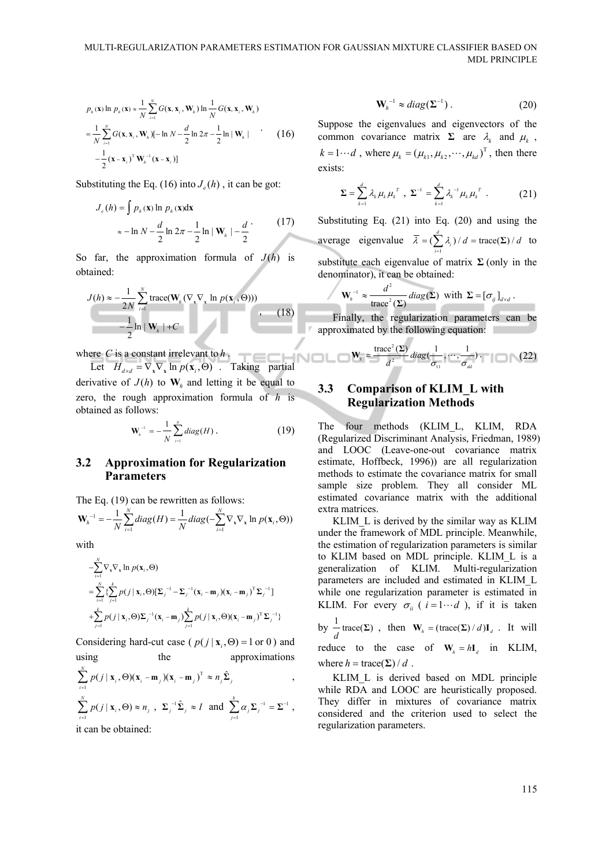$$
p_{h}(\mathbf{x}) \ln p_{h}(\mathbf{x}) \approx \frac{1}{N} \sum_{i=1}^{N} G(\mathbf{x}, \mathbf{x}_{i}, \mathbf{W}_{h}) \ln \frac{1}{N} G(\mathbf{x}, \mathbf{x}_{i}, \mathbf{W}_{h})
$$
  
= 
$$
\frac{1}{N} \sum_{i=1}^{N} G(\mathbf{x}, \mathbf{x}_{i}, \mathbf{W}_{h}) [-\ln N - \frac{d}{2} \ln 2\pi - \frac{1}{2} \ln |\mathbf{W}_{h}| \qquad (16)
$$
  

$$
-\frac{1}{2} (\mathbf{x} - \mathbf{x}_{i})^{\mathrm{T}} \mathbf{W}_{h}^{-1}(\mathbf{x} - \mathbf{x}_{i})]
$$

Substituting the Eq. (16) into  $J_e(h)$ , it can be got:

$$
J_e(h) = \int p_h(\mathbf{x}) \ln p_h(\mathbf{x}) d\mathbf{x}
$$
  
\n
$$
\approx -\ln N - \frac{d}{2} \ln 2\pi - \frac{1}{2} \ln |\mathbf{W}_h| - \frac{d}{2}
$$
 (17)

So far, the approximation formula of  $J(h)$  is obtained:

$$
J(h) \approx -\frac{1}{2N} \sum_{i=1}^{N} \text{trace}(\mathbf{W}_{h}(\nabla_{\mathbf{x}} \nabla_{\mathbf{x}} \ln p(\mathbf{x}_{i}, \Theta))) -\frac{1}{2} \ln |\mathbf{W}_{h}| + C
$$
 (18)

where *C* is a constant irrelevant to  $h$ .

ere C is a constant irrelevant to *h*.<br>Let  $H_{d \times d} = \nabla_x \nabla_x \ln p(\mathbf{x}, \Theta)$ . Taking partial derivative of  $J(h)$  to  $W_h$  and letting it be equal to zero, the rough approximation formula of *h* is obtained as follows:

$$
\mathbf{W}_{h}^{-1} = -\frac{1}{N} \sum_{i=1}^{N} diag(H) .
$$
 (19)

#### **3.2 Approximation for Regularization Parameters**

The Eq. (19) can be rewritten as follows:

$$
\mathbf{W}_{h}^{-1} = -\frac{1}{N} \sum_{i=1}^{N} diag(H) = \frac{1}{N} diag(-\sum_{i=1}^{N} \nabla_{\mathbf{x}} \nabla_{\mathbf{x}} ln p(\mathbf{x}_{i}, \Theta))
$$

with

$$
\begin{split}\n&-\sum_{i=1}^{N} \nabla_{\mathbf{x}} \nabla_{\mathbf{x}} \ln p(\mathbf{x}_{i}, \Theta) \\
&=\sum_{i=1}^{N} \left\{ \sum_{j=1}^{k} p(j \mid \mathbf{x}_{i}, \Theta) [\Sigma_{j}^{-1} - \Sigma_{j}^{-1} (\mathbf{x}_{i} - \mathbf{m}_{j})(\mathbf{x}_{i} - \mathbf{m}_{j})^{\mathrm{T}} \Sigma_{j}^{-1}] \right. \\
&+\sum_{j=1}^{k} p(j \mid \mathbf{x}_{i}, \Theta) \Sigma_{j}^{-1} (\mathbf{x}_{i} - \mathbf{m}_{j}) \sum_{j=1}^{k} p(j \mid \mathbf{x}_{i}, \Theta) (\mathbf{x}_{i} - \mathbf{m}_{j})^{\mathrm{T}} \Sigma_{j}^{-1} \right\}\n\end{split}
$$

Considering hard-cut case ( $p(j | \mathbf{x}_i, \Theta) = 1$  or 0) and using the approximations

$$
\sum_{i=1}^{N} p(j | \mathbf{x}_i, \Theta)(\mathbf{x}_i - \mathbf{m}_j)(\mathbf{x}_i - \mathbf{m}_j)^T \approx n_j \hat{\Sigma}_j,
$$
\n
$$
\sum_{i=1}^{N} p(j | \mathbf{x}_i, \Theta) \approx n_j, \ \Sigma_j^{-1} \hat{\Sigma}_j \approx I \ \text{and} \ \sum_{j=1}^{k} \alpha_j \Sigma_j^{-1} = \Sigma^{-1},
$$
\nit can be obtained:

$$
\mathbf{W}_{h}^{-1} \approx diag(\mathbf{\Sigma}^{-1})\,. \tag{20}
$$

Suppose the eigenvalues and eigenvectors of the common covariance matrix  $\Sigma$  are  $\lambda_k$  and  $\mu_k$ ,  $k = 1 \cdots d$ , where  $\mu_k = (\mu_{k1}, \mu_{k2}, \cdots, \mu_{kd})^T$ , then there exists:

$$
\Sigma = \sum_{k=1}^{d} \lambda_k \mu_k \mu_k^T, \ \Sigma^{-1} = \sum_{k=1}^{d} \lambda_k^{-1} \mu_k \mu_k^T. \tag{21}
$$

Substituting Eq. (21) into Eq. (20) and using the average eigenvalue  $\overline{\lambda} = (\sum_{i=1}^{d} \lambda_i) / d = \text{trace}(\Sigma) / d$  $\overline{\lambda} = (\sum \lambda_i) / d = \text{trace}(\Sigma) / d$  to *i*  $\overline{a}$ substitute each eigenvalue of matrix  $\Sigma$  (only in the denominator), it can be obtained:

$$
\mathbf{W}_{h}^{-1} \approx \frac{d^2}{\text{trace}^2(\boldsymbol{\Sigma})} \operatorname{diag}(\boldsymbol{\Sigma}) \text{ with } \boldsymbol{\Sigma} = [\sigma_{ij}]_{d \times d}.
$$

Finally, the regularization parameters can be approximated by the following equation:

$$
\mathbf{W}_{k} = \frac{\text{trace}^{2}(\Sigma)}{d^{2}} diag(\frac{1}{\sigma_{11}}, \cdots, \frac{1}{\sigma_{dd}}). \tag{22}
$$

# **3.3 Comparison of KLIM\_L with Regularization Methods**

The four methods (KLIM\_L, KLIM, RDA (Regularized Discriminant Analysis, Friedman, 1989) and LOOC (Leave-one-out covariance matrix estimate, Hoffbeck, 1996)) are all regularization methods to estimate the covariance matrix for small sample size problem. They all consider ML estimated covariance matrix with the additional extra matrices.

KLIM L is derived by the similar way as KLIM under the framework of MDL principle. Meanwhile, the estimation of regularization parameters is similar to KLIM based on MDL principle. KLIM\_L is a generalization of KLIM. Multi-regularization parameters are included and estimated in KLIM\_L while one regularization parameter is estimated in KLIM. For every  $\sigma_{ii}$  (  $i=1 \cdots d$  ), if it is taken by  $\frac{1}{d} \text{trace}(\Sigma)$ , then  $\mathbf{W}_{h} = (\text{trace}(\Sigma) / d) \mathbf{I}_{d}$ . It will reduce to the case of  $W_i = hI_i$  in KLIM, where  $h = \text{trace}(\Sigma) / d$ .

KLIM\_L is derived based on MDL principle while RDA and LOOC are heuristically proposed. They differ in mixtures of covariance matrix considered and the criterion used to select the regularization parameters.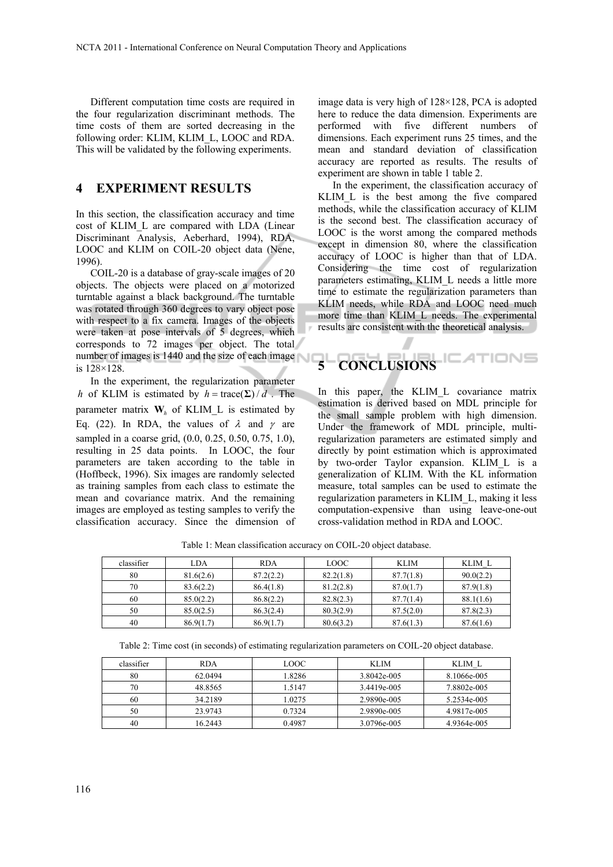Different computation time costs are required in the four regularization discriminant methods. The time costs of them are sorted decreasing in the following order: KLIM, KLIM\_L, LOOC and RDA. This will be validated by the following experiments.

# **4 EXPERIMENT RESULTS**

In this section, the classification accuracy and time cost of KLIM\_L are compared with LDA (Linear Discriminant Analysis, Aeberhard, 1994), RDA, LOOC and KLIM on COIL-20 object data (Nene, 1996).

COIL-20 is a database of gray-scale images of 20 objects. The objects were placed on a motorized turntable against a black background. The turntable was rotated through 360 degrees to vary object pose with respect to a fix camera. Images of the objects were taken at pose intervals of 5 degrees, which corresponds to 72 images per object. The total number of images is 1440 and the size of each image is 128×128.

In the experiment, the regularization parameter *h* of KLIM is estimated by  $h = \text{trace}(\Sigma) / d$ . The parameter matrix  $W_h$  of KLIM<sub>L</sub> is estimated by Eq. (22). In RDA, the values of  $\lambda$  and  $\gamma$  are sampled in a coarse grid, (0.0, 0.25, 0.50, 0.75, 1.0), resulting in 25 data points. In LOOC, the four parameters are taken according to the table in (Hoffbeck, 1996). Six images are randomly selected as training samples from each class to estimate the mean and covariance matrix. And the remaining images are employed as testing samples to verify the classification accuracy. Since the dimension of

image data is very high of 128×128, PCA is adopted here to reduce the data dimension. Experiments are performed with five different numbers of dimensions. Each experiment runs 25 times, and the mean and standard deviation of classification accuracy are reported as results. The results of experiment are shown in table 1 table 2.

In the experiment, the classification accuracy of KLIM\_L is the best among the five compared methods, while the classification accuracy of KLIM is the second best. The classification accuracy of LOOC is the worst among the compared methods except in dimension 80, where the classification accuracy of LOOC is higher than that of LDA. Considering the time cost of regularization parameters estimating, KLIM\_L needs a little more time to estimate the regularization parameters than KLIM needs, while RDA and LOOC need much more time than KLIM\_L needs. The experimental results are consistent with the theoretical analysis.

# **5 CONCLUSIONS**

In this paper, the KLIM L covariance matrix estimation is derived based on MDL principle for the small sample problem with high dimension. Under the framework of MDL principle, multiregularization parameters are estimated simply and directly by point estimation which is approximated by two-order Taylor expansion. KLIM\_L is a generalization of KLIM. With the KL information measure, total samples can be used to estimate the regularization parameters in KLIM\_L, making it less computation-expensive than using leave-one-out cross-validation method in RDA and LOOC.

| classifier | LDA       | <b>RDA</b> | <b>LOOC</b> | <b>KLIM</b> | KLIM L    |
|------------|-----------|------------|-------------|-------------|-----------|
| 80         | 81.6(2.6) | 87.2(2.2)  | 82.2(1.8)   | 87.7(1.8)   | 90.0(2.2) |
| 70         | 83.6(2.2) | 86.4(1.8)  | 81.2(2.8)   | 87.0(1.7)   | 87.9(1.8) |
| 60         | 85.0(2.2) | 86.8(2.2)  | 82.8(2.3)   | 87.7(1.4)   | 88.1(1.6) |
| 50         | 85.0(2.5) | 86.3(2.4)  | 80.3(2.9)   | 87.5(2.0)   | 87.8(2.3) |
| 40         | 86.9(1.7) | 86.9(1.7)  | 80.6(3.2)   | 87.6(1.3)   | 87.6(1.6) |

Table 1: Mean classification accuracy on COIL-20 object database.

Table 2: Time cost (in seconds) of estimating regularization parameters on COIL-20 object database.

| classifier | <b>RDA</b> | LOOC.  | KLIM        | KLIM L      |
|------------|------------|--------|-------------|-------------|
| 80         | 62.0494    | 1.8286 | 3.8042e-005 | 8.1066e-005 |
| 70         | 48.8565    | 1.5147 | 3.4419e-005 | 7.8802e-005 |
| 60         | 34.2189    | 1.0275 | 2.9890e-005 | 5.2534e-005 |
| 50         | 23.9743    | 0.7324 | 2.9890e-005 | 4.9817e-005 |
| 40         | 16.2443    | 0.4987 | 3.0796e-005 | 4.9364e-005 |